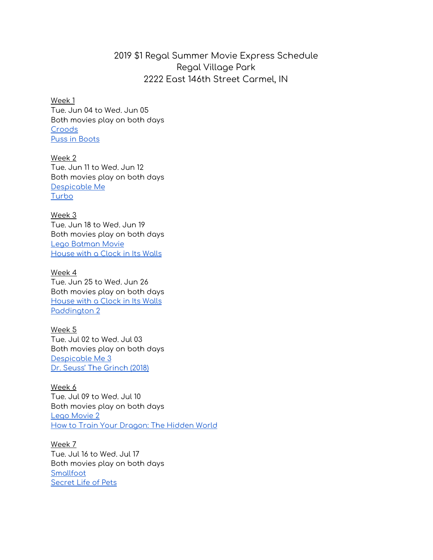## 2019 \$1 Regal Summer Movie Express Schedule Regal Village Park 2222 East 146th Street Carmel, IN

Week 1 Tue. Jun 04 to Wed. Jun 05 Both movies play on both days [Croods](https://www.regmovies.com/movies/ks19-croods/ho00008880)  [Puss in Boots](https://www.regmovies.com/movies/ks19-puss-in-boots/ho00008885)

Week 2 Tue. Jun 11 to Wed. Jun 12 Both movies play on both days [Despicable Me](https://www.regmovies.com/movies/ks19-despicable-me/ho00008888)  [Turbo](https://www.regmovies.com/movies/ks19-turbo/ho00008878)

Week 3 Tue. Jun 18 to Wed. Jun 19 Both movies play on both days [Lego Batman Movie](https://www.regmovies.com/movies/ks19-lego-batman-movie/ho00008877)  [House with a Clock in Its Walls](https://www.regmovies.com/movies/ks19-house-with-a-clock-in-its-walls/ho00008881)

Week 4 Tue. Jun 25 to Wed. Jun 26 Both movies play on both days [House with a Clock in Its Walls](https://www.regmovies.com/movies/ks19-house-with-a-clock-in-its-walls/ho00008881)  [Paddington 2](https://www.regmovies.com/movies/ks19-paddington-2/ho00008857)

Week 5 Tue. Jul 02 to Wed. Jul 03 Both movies play on both days [Despicable Me 3](https://www.regmovies.com/movies/ks19-despicable-me-3/ho00008843)  [Dr. Seuss' The Grinch \(2018\)](https://www.regmovies.com/movies/ks19-dr-seuss-the-grinch-2018/ho00008856)

Week 6 Tue. Jul 09 to Wed. Jul 10 Both movies play on both days [Lego Movie 2](https://www.regmovies.com/movies/ks19-lego-movie-2/ho00008879)  [How to Train Your Dragon: The Hidden World](https://www.regmovies.com/movies/ks19-how-to-train-your-dragon-the-hidden-world/ho00008873)

Week 7 Tue. Jul 16 to Wed. Jul 17 Both movies play on both days [Smallfoot](https://www.regmovies.com/movies/ks19-smallfoot/ho00008883)  [Secret Life of Pets](https://www.regmovies.com/movies/ks19-secret-life-of-pets/ho00008844)